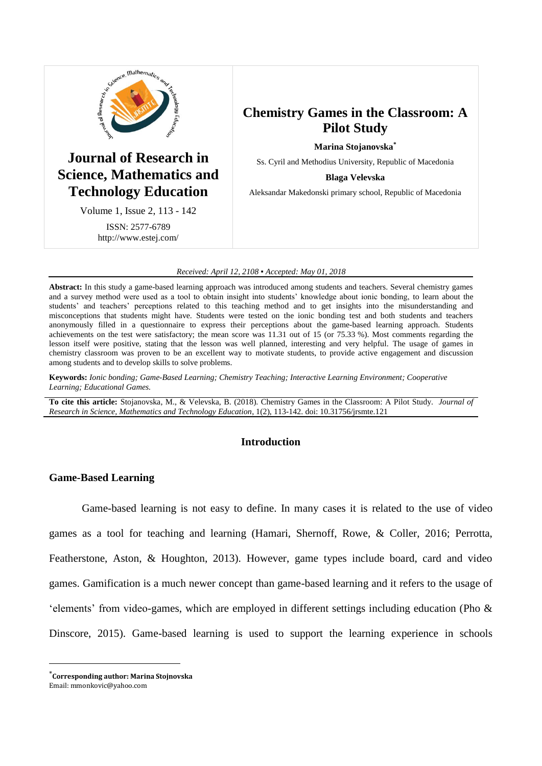

# **Journal of Research in Science, Mathematics and Technology Education**

Volume 1, Issue 2, 113 - 142 ISSN: 2577-6789 http://www.estej.com/

# **Chemistry Games in the Classroom: A Pilot Study**

**Marina Stojanovska\***

Ss. Cyril and Methodius University, Republic of Macedonia

#### **Blaga Velevska**

Aleksandar Makedonski primary school, Republic of Macedonia

#### *Received: April 12, 2108 ▪ Accepted: May 01, 2018*

**Abstract:** In this study a game-based learning approach was introduced among students and teachers. Several chemistry games and a survey method were used as a tool to obtain insight into students' knowledge about ionic bonding, to learn about the students' and teachers' perceptions related to this teaching method and to get insights into the misunderstanding and misconceptions that students might have. Students were tested on the ionic bonding test and both students and teachers anonymously filled in a questionnaire to express their perceptions about the game-based learning approach. Students achievements on the test were satisfactory; the mean score was 11.31 out of 15 (or 75.33 %). Most comments regarding the lesson itself were positive, stating that the lesson was well planned, interesting and very helpful. The usage of games in chemistry classroom was proven to be an excellent way to motivate students, to provide active engagement and discussion among students and to develop skills to solve problems.

**Keywords:** *Ionic bonding; Game-Based Learning; Chemistry Teaching; Interactive Learning Environment; Cooperative Learning; Educational Games.*

**To cite this article:** Stojanovska, M., & Velevska, B. (2018). Chemistry Games in the Classroom: A Pilot Study. *Journal of Research in Science, Mathematics and Technology Education*, 1(2), 113-142. doi: 10.31756/jrsmte.121

# **Introduction**

## **Game-Based Learning**

Game-based learning is not easy to define. In many cases it is related to the use of video games as a tool for teaching and learning (Hamari, Shernoff, Rowe, & Coller, 2016; Perrotta, Featherstone, Aston, & Houghton, 2013). However, game types include board, card and video games. Gamification is a much newer concept than game-based learning and it refers to the usage of 'elements' from video-games, which are employed in different settings including education (Pho & Dinscore, 2015). Game-based learning is used to support the learning experience in schools

<u>.</u>

<sup>\*</sup>**Corresponding author: Marina Stojnovska**

Email: mmonkovic@yahoo.com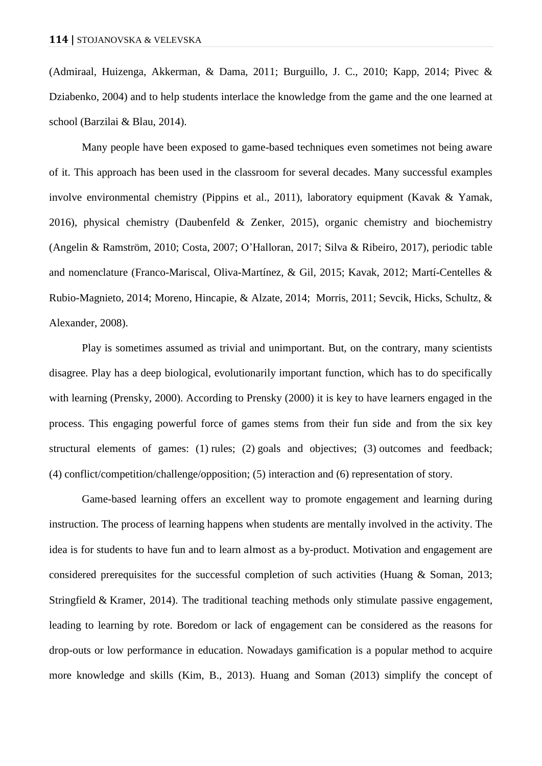(Admiraal, Huizenga, Akkerman, & Dama, 2011; Burguillo, J. C., 2010; Kapp, 2014; Pivec & Dziabenko, 2004) and to help students interlace the knowledge from the game and the one learned at school (Barzilai & Blau, 2014).

Many people have been exposed to game-based techniques even sometimes not being aware of it. This approach has been used in the classroom for several decades. Many successful examples involve environmental chemistry (Pippins et al., 2011), laboratory equipment (Kavak & Yamak, 2016), physical chemistry (Daubenfeld & Zenker, 2015), organic chemistry and biochemistry (Angelin & Ramström, 2010; Costa, 2007; O'Halloran, 2017; Silva & Ribeiro, 2017), periodic table and nomenclature (Franco-Mariscal, Oliva-Martínez, & Gil, 2015; Kavak, 2012; Martí-Centelles & Rubio-Magnieto, 2014; Moreno, Hincapie, & Alzate, 2014; Morris, 2011; Sevcik, Hicks, Schultz, & Alexander, 2008).

Play is sometimes assumed as trivial and unimportant. But, on the contrary, many scientists disagree. Play has a deep biological, evolutionarily important function, which has to do specifically with learning (Prensky, 2000). According to Prensky (2000) it is key to have learners engaged in the process. This engaging powerful force of games stems from their fun side and from the six key structural elements of games: (1) rules; (2) goals and objectives; (3) outcomes and feedback; (4) conflict/competition/challenge/opposition; (5) interaction and (6) representation of story.

Game-based learning offers an excellent way to promote engagement and learning during instruction. The process of learning happens when students are mentally involved in the activity. The idea is for students to have fun and to learn almost as a by-product. Motivation and engagement are considered prerequisites for the successful completion of such activities (Huang & Soman, 2013; Stringfield & Kramer, 2014). The traditional teaching methods only stimulate passive engagement, leading to learning by rote. Boredom or lack of engagement can be considered as the reasons for drop-outs or low performance in education. Nowadays gamification is a popular method to acquire more knowledge and skills (Kim, B., 2013). Huang and Soman (2013) simplify the concept of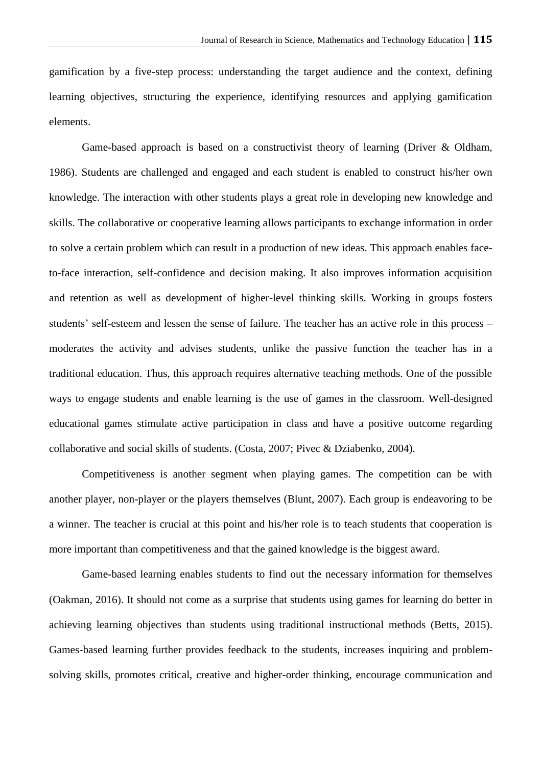gamification by a five-step process: understanding the target audience and the context, defining learning objectives, structuring the experience, identifying resources and applying gamification elements.

Game-based approach is based on a constructivist theory of learning (Driver & Oldham, 1986). Students are challenged and engaged and each student is enabled to construct his/her own knowledge. The interaction with other students plays a great role in developing new knowledge and skills. The collaborative or cooperative learning allows participants to exchange information in order to solve a certain problem which can result in a production of new ideas. This approach enables faceto-face interaction, self-confidence and decision making. It also improves information acquisition and retention as well as development of higher-level thinking skills. Working in groups fosters students' self-esteem and lessen the sense of failure. The teacher has an active role in this process – moderates the activity and advises students, unlike the passive function the teacher has in a traditional education. Thus, this approach requires alternative teaching methods. One of the possible ways to engage students and enable learning is the use of games in the classroom. Well-designed educational games stimulate active participation in class and have a positive outcome regarding collaborative and social skills of students. (Costa, 2007; Pivec & Dziabenko, 2004).

Competitiveness is another segment when playing games. The competition can be with another player, non-player or the players themselves (Blunt, 2007). Each group is endeavoring to be a winner. The teacher is crucial at this point and his/her role is to teach students that cooperation is more important than competitiveness and that the gained knowledge is the biggest award.

Game-based learning enables students to find out the necessary information for themselves (Oakman, 2016). It should not come as a surprise that students using games for learning do better in achieving learning objectives than students using traditional instructional methods (Betts, 2015). Games-based learning further provides feedback to the students, increases inquiring and problemsolving skills, promotes critical, creative and higher-order thinking, encourage communication and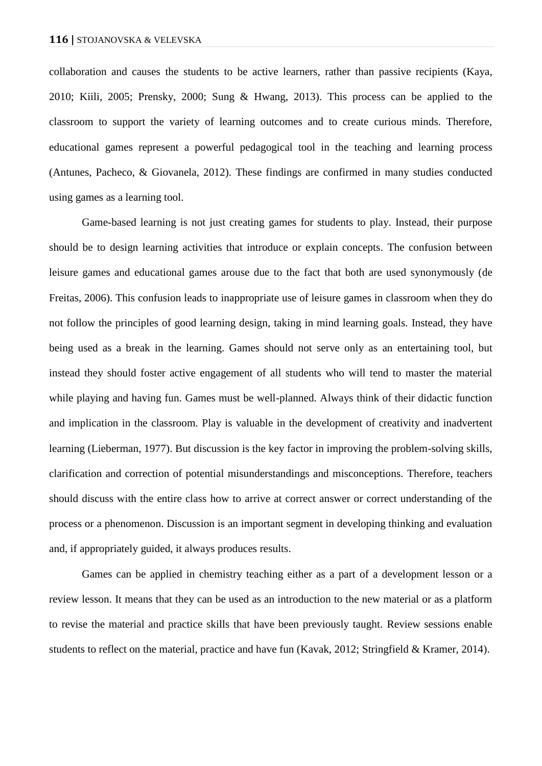collaboration and causes the students to be active learners, rather than passive recipients (Kaya, 2010; Kiili, 2005; Prensky, 2000; Sung & Hwang, 2013). This process can be applied to the classroom to support the variety of learning outcomes and to create curious minds. Therefore, educational games represent a powerful pedagogical tool in the teaching and learning process (Antunes, Pacheco, & Giovanela, 2012). These findings are confirmed in many studies conducted using games as a learning tool.

Game-based learning is not just creating games for students to play. Instead, their purpose should be to design learning activities that introduce or explain concepts. The confusion between leisure games and educational games arouse due to the fact that both are used synonymously (de Freitas, 2006). This confusion leads to inappropriate use of leisure games in classroom when they do not follow the principles of good learning design, taking in mind learning goals. Instead, they have being used as a break in the learning. Games should not serve only as an entertaining tool, but instead they should foster active engagement of all students who will tend to master the material while playing and having fun. Games must be well-planned. Always think of their didactic function and implication in the classroom. Play is valuable in the development of creativity and inadvertent learning (Lieberman, 1977). But discussion is the key factor in improving the problem-solving skills, clarification and correction of potential misunderstandings and misconceptions. Therefore, teachers should discuss with the entire class how to arrive at correct answer or correct understanding of the process or a phenomenon. Discussion is an important segment in developing thinking and evaluation and, if appropriately guided, it always produces results.

Games can be applied in chemistry teaching either as a part of a development lesson or a review lesson. It means that they can be used as an introduction to the new material or as a platform to revise the material and practice skills that have been previously taught. Review sessions enable students to reflect on the material, practice and have fun (Kavak, 2012; Stringfield & Kramer, 2014).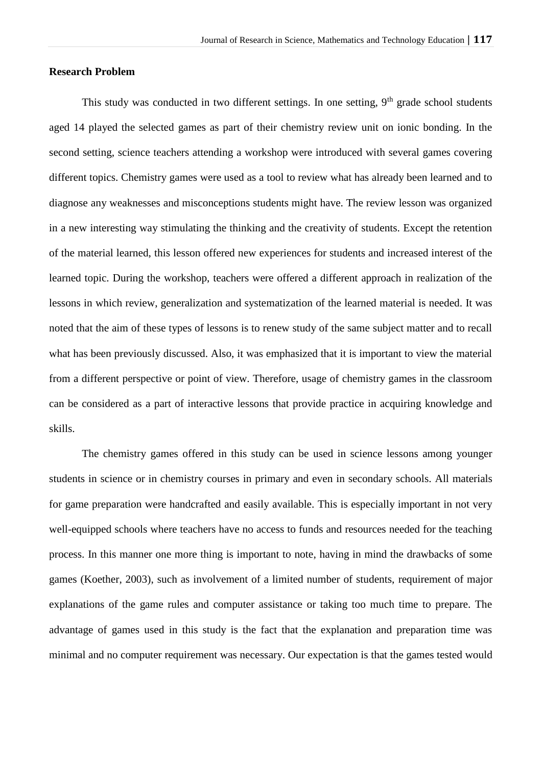#### **Research Problem**

This study was conducted in two different settings. In one setting,  $9<sup>th</sup>$  grade school students aged 14 played the selected games as part of their chemistry review unit on ionic bonding. In the second setting, science teachers attending a workshop were introduced with several games covering different topics. Chemistry games were used as a tool to review what has already been learned and to diagnose any weaknesses and misconceptions students might have. The review lesson was organized in a new interesting way stimulating the thinking and the creativity of students. Except the retention of the material learned, this lesson offered new experiences for students and increased interest of the learned topic. During the workshop, teachers were offered a different approach in realization of the lessons in which review, generalization and systematization of the learned material is needed. It was noted that the aim of these types of lessons is to renew study of the same subject matter and to recall what has been previously discussed. Also, it was emphasized that it is important to view the material from a different perspective or point of view. Therefore, usage of chemistry games in the classroom can be considered as a part of interactive lessons that provide practice in acquiring knowledge and skills.

The chemistry games offered in this study can be used in science lessons among younger students in science or in chemistry courses in primary and even in secondary schools. All materials for game preparation were handcrafted and easily available. This is especially important in not very well-equipped schools where teachers have no access to funds and resources needed for the teaching process. In this manner one more thing is important to note, having in mind the drawbacks of some games (Koether, 2003), such as involvement of a limited number of students, requirement of major explanations of the game rules and computer assistance or taking too much time to prepare. The advantage of games used in this study is the fact that the explanation and preparation time was minimal and no computer requirement was necessary. Our expectation is that the games tested would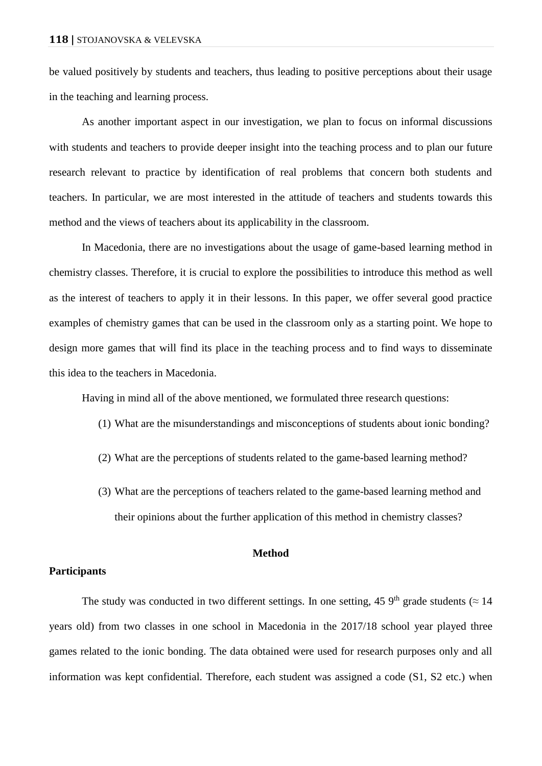be valued positively by students and teachers, thus leading to positive perceptions about their usage in the teaching and learning process.

As another important aspect in our investigation, we plan to focus on informal discussions with students and teachers to provide deeper insight into the teaching process and to plan our future research relevant to practice by identification of real problems that concern both students and teachers. In particular, we are most interested in the attitude of teachers and students towards this method and the views of teachers about its applicability in the classroom.

In Macedonia, there are no investigations about the usage of game-based learning method in chemistry classes. Therefore, it is crucial to explore the possibilities to introduce this method as well as the interest of teachers to apply it in their lessons. In this paper, we offer several good practice examples of chemistry games that can be used in the classroom only as a starting point. We hope to design more games that will find its place in the teaching process and to find ways to disseminate this idea to the teachers in Macedonia.

Having in mind all of the above mentioned, we formulated three research questions:

- (1) What are the misunderstandings and misconceptions of students about ionic bonding?
- (2) What are the perceptions of students related to the game-based learning method?
- (3) What are the perceptions of teachers related to the game-based learning method and their opinions about the further application of this method in chemistry classes?

## **Method**

## **Participants**

The study was conducted in two different settings. In one setting, 45  $9<sup>th</sup>$  grade students ( $\approx$  14 years old) from two classes in one school in Macedonia in the 2017/18 school year played three games related to the ionic bonding. The data obtained were used for research purposes only and all information was kept confidential. Therefore, each student was assigned a code (S1, S2 etc.) when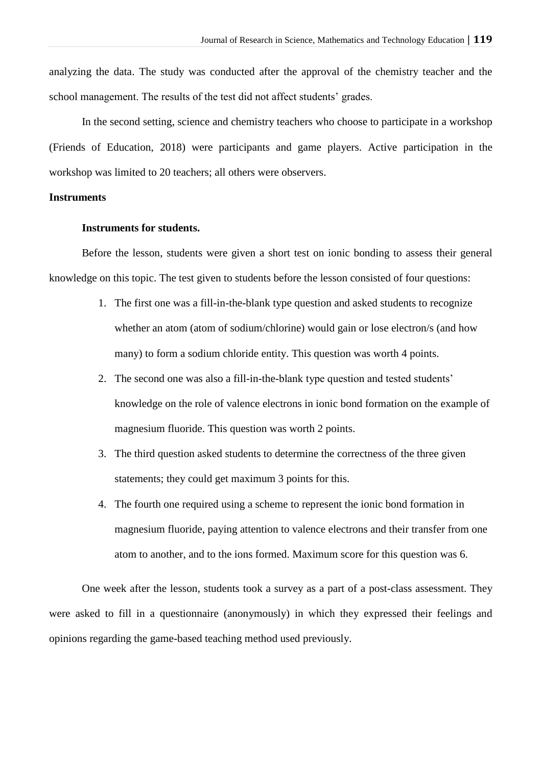analyzing the data. The study was conducted after the approval of the chemistry teacher and the school management. The results of the test did not affect students' grades.

In the second setting, science and chemistry teachers who choose to participate in a workshop (Friends of Education, 2018) were participants and game players. Active participation in the workshop was limited to 20 teachers; all others were observers.

## **Instruments**

### **Instruments for students.**

Before the lesson, students were given a short test on ionic bonding to assess their general knowledge on this topic. The test given to students before the lesson consisted of four questions:

- 1. The first one was a fill-in-the-blank type question and asked students to recognize whether an atom (atom of sodium/chlorine) would gain or lose electron/s (and how many) to form a sodium chloride entity. This question was worth 4 points.
- 2. The second one was also a fill-in-the-blank type question and tested students' knowledge on the role of valence electrons in ionic bond formation on the example of magnesium fluoride. This question was worth 2 points.
- 3. The third question asked students to determine the correctness of the three given statements; they could get maximum 3 points for this.
- 4. The fourth one required using a scheme to represent the ionic bond formation in magnesium fluoride, paying attention to valence electrons and their transfer from one atom to another, and to the ions formed. Maximum score for this question was 6.

One week after the lesson, students took a survey as a part of a post-class assessment. They were asked to fill in a questionnaire (anonymously) in which they expressed their feelings and opinions regarding the game-based teaching method used previously.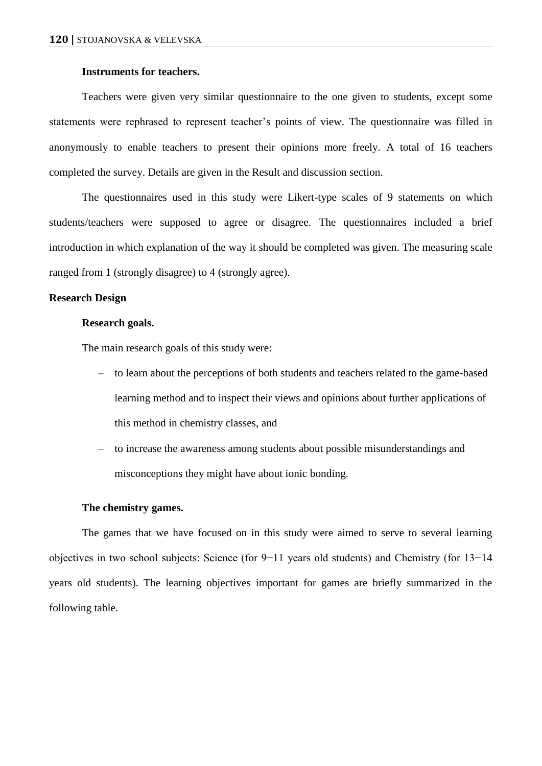# **Instruments for teachers.**

Teachers were given very similar questionnaire to the one given to students, except some statements were rephrased to represent teacher's points of view. The questionnaire was filled in anonymously to enable teachers to present their opinions more freely. A total of 16 teachers completed the survey. Details are given in the Result and discussion section.

The questionnaires used in this study were Likert-type scales of 9 statements on which students/teachers were supposed to agree or disagree. The questionnaires included a brief introduction in which explanation of the way it should be completed was given. The measuring scale ranged from 1 (strongly disagree) to 4 (strongly agree).

## **Research Design**

## **Research goals.**

The main research goals of this study were:

- to learn about the perceptions of both students and teachers related to the game-based learning method and to inspect their views and opinions about further applications of this method in chemistry classes, and
- to increase the awareness among students about possible misunderstandings and misconceptions they might have about ionic bonding.

#### **The chemistry games.**

The games that we have focused on in this study were aimed to serve to several learning objectives in two school subjects: Science (for 9−11 years old students) and Chemistry (for 13−14 years old students). The learning objectives important for games are briefly summarized in the following table.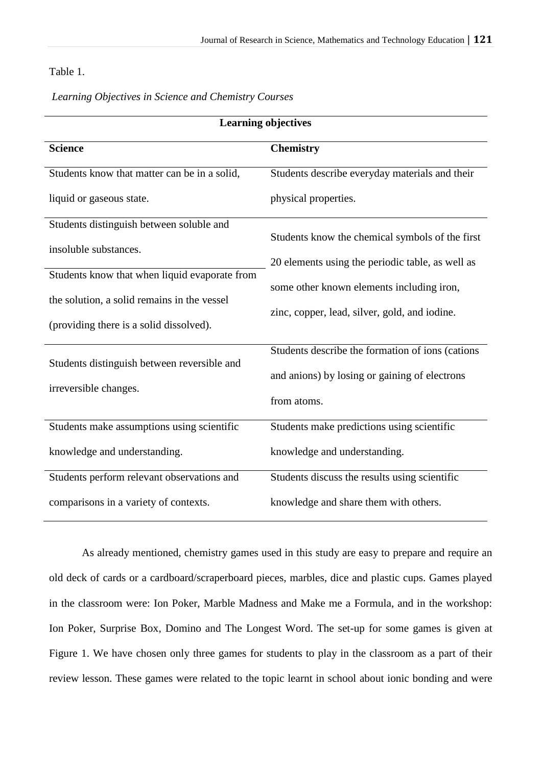## Table 1.

|  |  |  | Learning Objectives in Science and Chemistry Courses |  |
|--|--|--|------------------------------------------------------|--|
|--|--|--|------------------------------------------------------|--|

| <b>Learning objectives</b>                                           |                                                  |  |  |
|----------------------------------------------------------------------|--------------------------------------------------|--|--|
| <b>Science</b>                                                       | <b>Chemistry</b>                                 |  |  |
| Students know that matter can be in a solid,                         | Students describe everyday materials and their   |  |  |
| liquid or gaseous state.                                             | physical properties.                             |  |  |
| Students distinguish between soluble and                             |                                                  |  |  |
| insoluble substances.                                                | Students know the chemical symbols of the first  |  |  |
|                                                                      | 20 elements using the periodic table, as well as |  |  |
| Students know that when liquid evaporate from                        | some other known elements including iron,        |  |  |
| the solution, a solid remains in the vessel                          | zinc, copper, lead, silver, gold, and iodine.    |  |  |
| (providing there is a solid dissolved).                              |                                                  |  |  |
|                                                                      | Students describe the formation of ions (cations |  |  |
| Students distinguish between reversible and<br>irreversible changes. | and anions) by losing or gaining of electrons    |  |  |
|                                                                      | from atoms.                                      |  |  |
| Students make assumptions using scientific                           | Students make predictions using scientific       |  |  |
| knowledge and understanding.                                         | knowledge and understanding.                     |  |  |
| Students perform relevant observations and                           | Students discuss the results using scientific    |  |  |
| comparisons in a variety of contexts.                                | knowledge and share them with others.            |  |  |

As already mentioned, chemistry games used in this study are easy to prepare and require an old deck of cards or a cardboard/scraperboard pieces, marbles, dice and plastic cups. Games played in the classroom were: Ion Poker, Marble Madness and Make me a Formula, and in the workshop: Ion Poker, Surprise Box, Domino and The Longest Word. The set-up for some games is given at Figure 1. We have chosen only three games for students to play in the classroom as a part of their review lesson. These games were related to the topic learnt in school about ionic bonding and were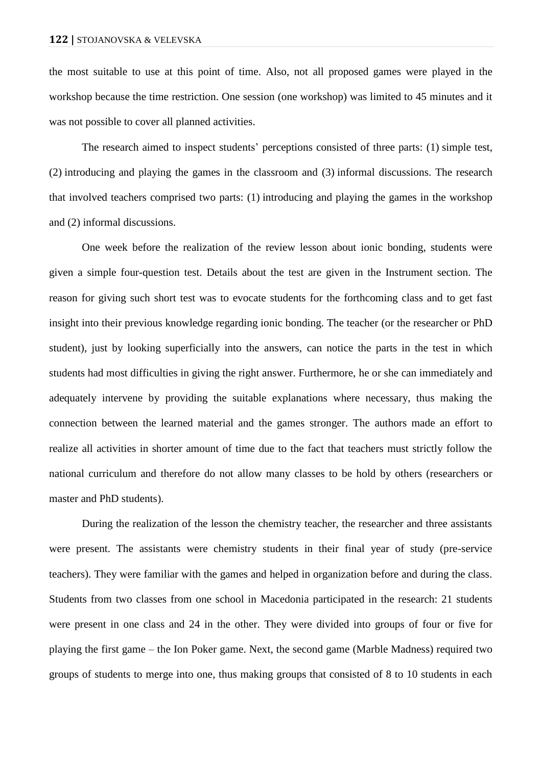the most suitable to use at this point of time. Also, not all proposed games were played in the workshop because the time restriction. One session (one workshop) was limited to 45 minutes and it was not possible to cover all planned activities.

The research aimed to inspect students' perceptions consisted of three parts: (1) simple test, (2) introducing and playing the games in the classroom and (3) informal discussions. The research that involved teachers comprised two parts: (1) introducing and playing the games in the workshop and (2) informal discussions.

One week before the realization of the review lesson about ionic bonding, students were given a simple four-question test. Details about the test are given in the Instrument section. The reason for giving such short test was to evocate students for the forthcoming class and to get fast insight into their previous knowledge regarding ionic bonding. The teacher (or the researcher or PhD student), just by looking superficially into the answers, can notice the parts in the test in which students had most difficulties in giving the right answer. Furthermore, he or she can immediately and adequately intervene by providing the suitable explanations where necessary, thus making the connection between the learned material and the games stronger. The authors made an effort to realize all activities in shorter amount of time due to the fact that teachers must strictly follow the national curriculum and therefore do not allow many classes to be hold by others (researchers or master and PhD students).

During the realization of the lesson the chemistry teacher, the researcher and three assistants were present. The assistants were chemistry students in their final year of study (pre-service teachers). They were familiar with the games and helped in organization before and during the class. Students from two classes from one school in Macedonia participated in the research: 21 students were present in one class and 24 in the other. They were divided into groups of four or five for playing the first game – the Ion Poker game. Next, the second game (Marble Madness) required two groups of students to merge into one, thus making groups that consisted of 8 to 10 students in each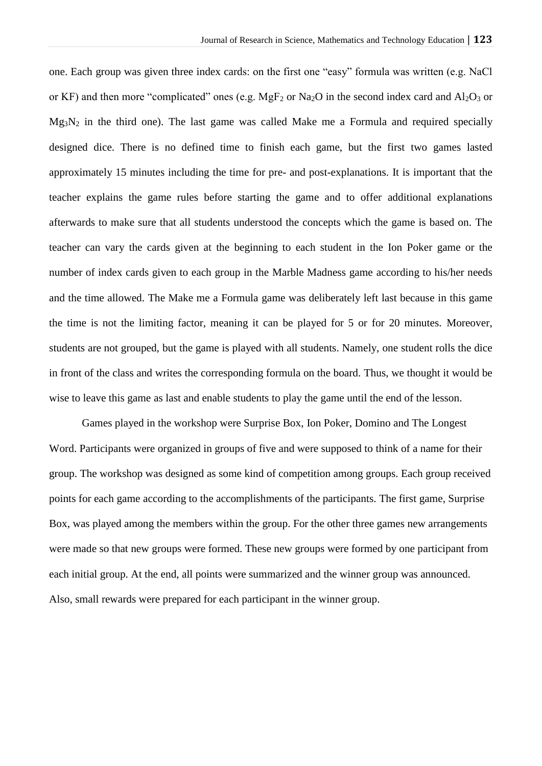one. Each group was given three index cards: on the first one "easy" formula was written (e.g. NaCl or KF) and then more "complicated" ones (e.g.  $MgF_2$  or Na<sub>2</sub>O in the second index card and Al<sub>2</sub>O<sub>3</sub> or  $Mg_3N_2$  in the third one). The last game was called Make me a Formula and required specially designed dice. There is no defined time to finish each game, but the first two games lasted approximately 15 minutes including the time for pre- and post-explanations. It is important that the teacher explains the game rules before starting the game and to offer additional explanations afterwards to make sure that all students understood the concepts which the game is based on. The teacher can vary the cards given at the beginning to each student in the Ion Poker game or the number of index cards given to each group in the Marble Madness game according to his/her needs and the time allowed. The Make me a Formula game was deliberately left last because in this game the time is not the limiting factor, meaning it can be played for 5 or for 20 minutes. Moreover, students are not grouped, but the game is played with all students. Namely, one student rolls the dice in front of the class and writes the corresponding formula on the board. Thus, we thought it would be wise to leave this game as last and enable students to play the game until the end of the lesson.

Games played in the workshop were Surprise Box, Ion Poker, Domino and The Longest Word. Participants were organized in groups of five and were supposed to think of a name for their group. The workshop was designed as some kind of competition among groups. Each group received points for each game according to the accomplishments of the participants. The first game, Surprise Box, was played among the members within the group. For the other three games new arrangements were made so that new groups were formed. These new groups were formed by one participant from each initial group. At the end, all points were summarized and the winner group was announced. Also, small rewards were prepared for each participant in the winner group.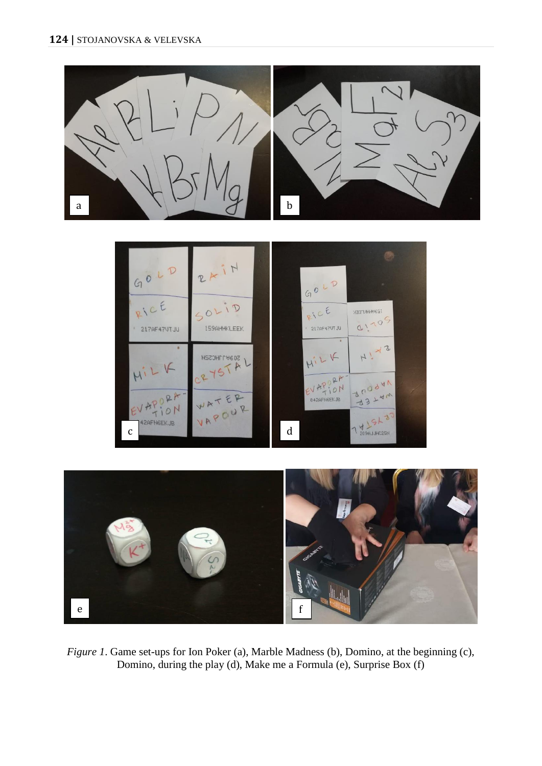

*Figure 1*. Game set-ups for Ion Poker (a), Marble Madness (b), Domino, at the beginning (c), Domino, during the play (d), Make me a Formula (e), Surprise Box (f)

e for the form of the form of the form of the form of the form of the form of the form of the form of the form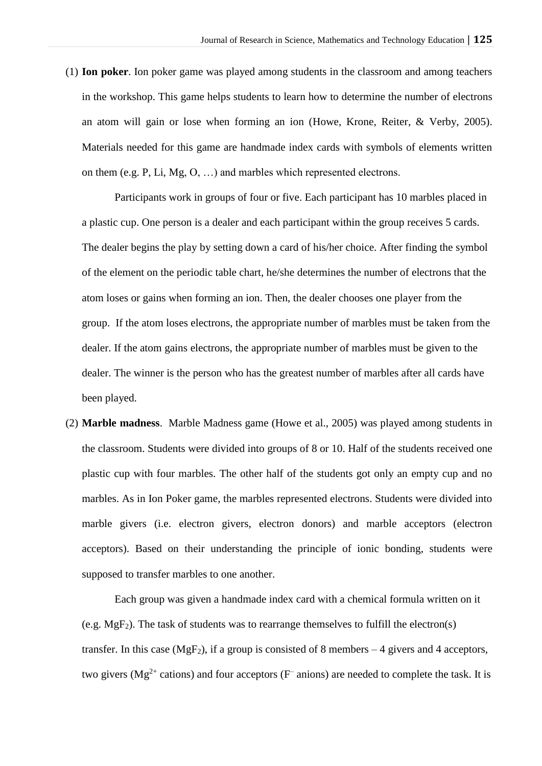(1) **Ion poker**. Ion poker game was played among students in the classroom and among teachers in the workshop. This game helps students to learn how to determine the number of electrons an atom will gain or lose when forming an ion (Howe, Krone, Reiter, & Verby, 2005). Materials needed for this game are handmade index cards with symbols of elements written on them (e.g. P, Li, Mg, O, …) and marbles which represented electrons.

Participants work in groups of four or five. Each participant has 10 marbles placed in a plastic cup. One person is a dealer and each participant within the group receives 5 cards. The dealer begins the play by setting down a card of his/her choice. After finding the symbol of the element on the periodic table chart, he/she determines the number of electrons that the atom loses or gains when forming an ion. Then, the dealer chooses one player from the group. If the atom loses electrons, the appropriate number of marbles must be taken from the dealer. If the atom gains electrons, the appropriate number of marbles must be given to the dealer. The winner is the person who has the greatest number of marbles after all cards have been played.

(2) **Marble madness**. Marble Madness game (Howe et al., 2005) was played among students in the classroom. Students were divided into groups of 8 or 10. Half of the students received one plastic cup with four marbles. The other half of the students got only an empty cup and no marbles. As in Ion Poker game, the marbles represented electrons. Students were divided into marble givers (i.e. electron givers, electron donors) and marble acceptors (electron acceptors). Based on their understanding the principle of ionic bonding, students were supposed to transfer marbles to one another.

Each group was given a handmade index card with a chemical formula written on it (e.g.  $MgF_2$ ). The task of students was to rearrange themselves to fulfill the electron(s) transfer. In this case  $(MgF_2)$ , if a group is consisted of 8 members – 4 givers and 4 acceptors, two givers (Mg<sup>2+</sup> cations) and four acceptors ( $F^-$  anions) are needed to complete the task. It is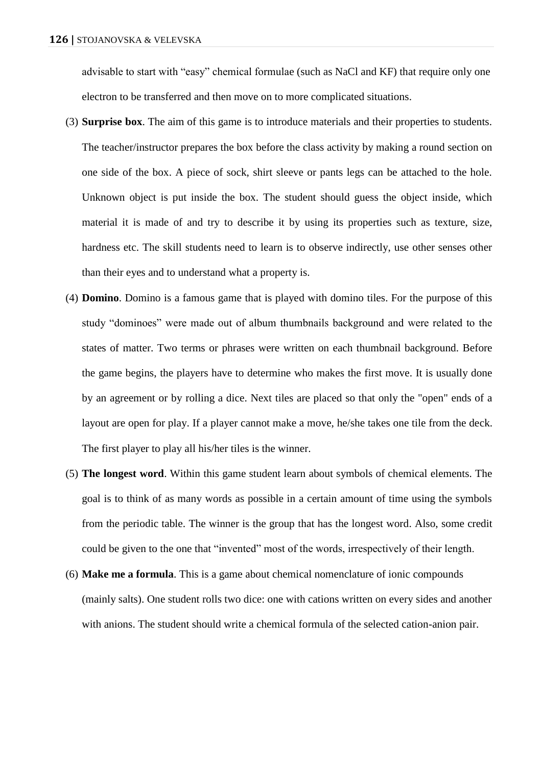advisable to start with "easy" chemical formulae (such as NaCl and KF) that require only one electron to be transferred and then move on to more complicated situations.

- (3) **Surprise box**. The aim of this game is to introduce materials and their properties to students. The teacher/instructor prepares the box before the class activity by making a round section on one side of the box. A piece of sock, shirt sleeve or pants legs can be attached to the hole. Unknown object is put inside the box. The student should guess the object inside, which material it is made of and try to describe it by using its properties such as texture, size, hardness etc. The skill students need to learn is to observe indirectly, use other senses other than their eyes and to understand what a property is.
- (4) **Domino**. Domino is a famous game that is played with domino tiles. For the purpose of this study "dominoes" were made out of album thumbnails background and were related to the states of matter. Two terms or phrases were written on each thumbnail background. Before the game begins, the players have to determine who makes the first move. It is usually done by an agreement or by rolling a dice. Next tiles are placed so that only the "open" ends of a layout are open for play. If a player cannot make a move, he/she takes one tile from the deck. The first player to play all his/her tiles is the winner.
- (5) **The longest word**. Within this game student learn about symbols of chemical elements. The goal is to think of as many words as possible in a certain amount of time using the symbols from the periodic table. The winner is the group that has the longest word. Also, some credit could be given to the one that "invented" most of the words, irrespectively of their length.
- (6) **Make me a formula**. This is a game about chemical nomenclature of ionic compounds (mainly salts). One student rolls two dice: one with cations written on every sides and another with anions. The student should write a chemical formula of the selected cation-anion pair.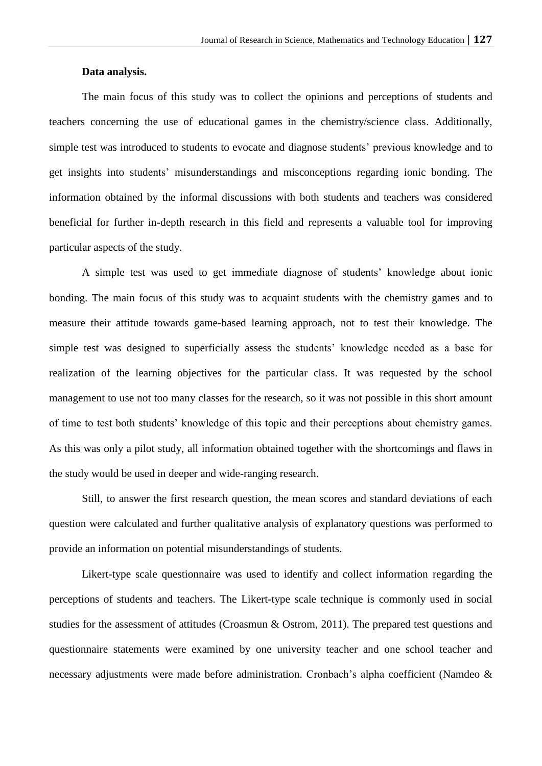### **Data analysis.**

The main focus of this study was to collect the opinions and perceptions of students and teachers concerning the use of educational games in the chemistry/science class. Additionally, simple test was introduced to students to evocate and diagnose students' previous knowledge and to get insights into students' misunderstandings and misconceptions regarding ionic bonding. The information obtained by the informal discussions with both students and teachers was considered beneficial for further in-depth research in this field and represents a valuable tool for improving particular aspects of the study.

A simple test was used to get immediate diagnose of students' knowledge about ionic bonding. The main focus of this study was to acquaint students with the chemistry games and to measure their attitude towards game-based learning approach, not to test their knowledge. The simple test was designed to superficially assess the students' knowledge needed as a base for realization of the learning objectives for the particular class. It was requested by the school management to use not too many classes for the research, so it was not possible in this short amount of time to test both students' knowledge of this topic and their perceptions about chemistry games. As this was only a pilot study, all information obtained together with the shortcomings and flaws in the study would be used in deeper and wide-ranging research.

Still, to answer the first research question, the mean scores and standard deviations of each question were calculated and further qualitative analysis of explanatory questions was performed to provide an information on potential misunderstandings of students.

Likert-type scale questionnaire was used to identify and collect information regarding the perceptions of students and teachers. The Likert-type scale technique is commonly used in social studies for the assessment of attitudes (Croasmun & Ostrom, 2011). The prepared test questions and questionnaire statements were examined by one university teacher and one school teacher and necessary adjustments were made before administration. Cronbach's alpha coefficient (Namdeo &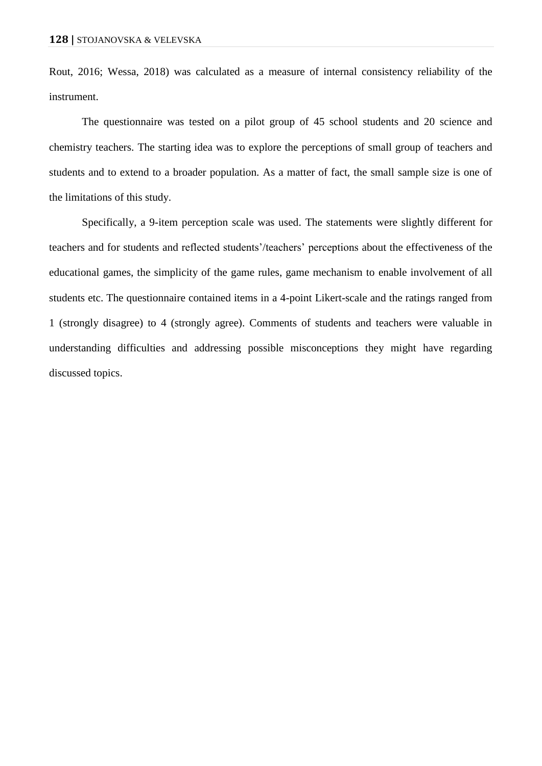Rout, 2016; Wessa, 2018) was calculated as a measure of internal consistency reliability of the instrument.

The questionnaire was tested on a pilot group of 45 school students and 20 science and chemistry teachers. The starting idea was to explore the perceptions of small group of teachers and students and to extend to a broader population. As a matter of fact, the small sample size is one of the limitations of this study.

Specifically, a 9-item perception scale was used. The statements were slightly different for teachers and for students and reflected students'/teachers' perceptions about the effectiveness of the educational games, the simplicity of the game rules, game mechanism to enable involvement of all students etc. The questionnaire contained items in a 4-point Likert-scale and the ratings ranged from 1 (strongly disagree) to 4 (strongly agree). Comments of students and teachers were valuable in understanding difficulties and addressing possible misconceptions they might have regarding discussed topics.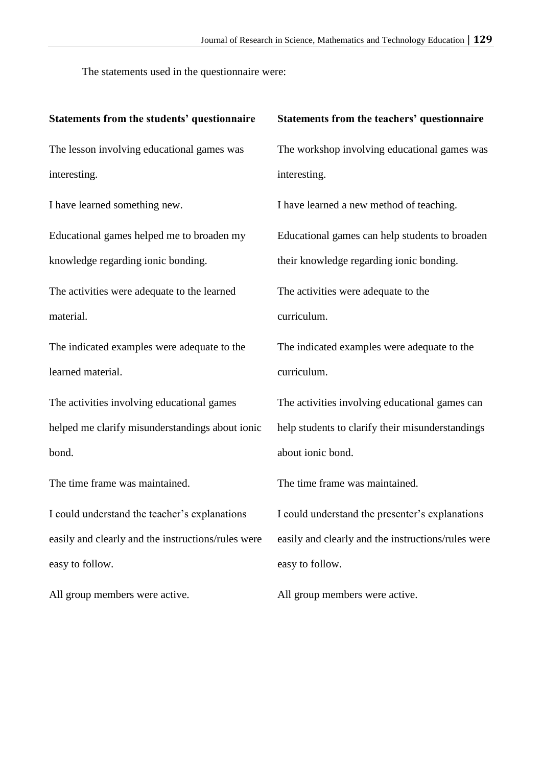The statements used in the questionnaire were:

| Statements from the teachers' questionnaire        |
|----------------------------------------------------|
| The workshop involving educational games was       |
| interesting.                                       |
| I have learned a new method of teaching.           |
| Educational games can help students to broaden     |
| their knowledge regarding ionic bonding.           |
| The activities were adequate to the                |
| curriculum.                                        |
| The indicated examples were adequate to the        |
| curriculum.                                        |
| The activities involving educational games can     |
| help students to clarify their misunderstandings   |
| about ionic bond.                                  |
| The time frame was maintained.                     |
| I could understand the presenter's explanations    |
| easily and clearly and the instructions/rules were |
| easy to follow.                                    |
|                                                    |

All group members were active.

All group members were active.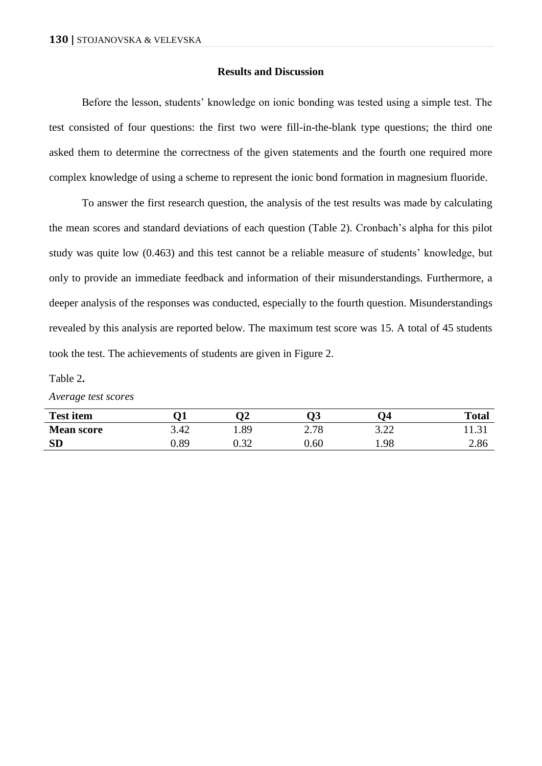#### **Results and Discussion**

Before the lesson, students' knowledge on ionic bonding was tested using a simple test. The test consisted of four questions: the first two were fill-in-the-blank type questions; the third one asked them to determine the correctness of the given statements and the fourth one required more complex knowledge of using a scheme to represent the ionic bond formation in magnesium fluoride.

To answer the first research question, the analysis of the test results was made by calculating the mean scores and standard deviations of each question (Table 2). Cronbach's alpha for this pilot study was quite low (0.463) and this test cannot be a reliable measure of students' knowledge, but only to provide an immediate feedback and information of their misunderstandings. Furthermore, a deeper analysis of the responses was conducted, especially to the fourth question. Misunderstandings revealed by this analysis are reported below. The maximum test score was 15. A total of 45 students took the test. The achievements of students are given in Figure 2.

#### Table 2**.**

*Average test scores*

| <b>Test item</b>  | )1                |      |          | $\mathbf{Q}$        | <b>Total</b> |
|-------------------|-------------------|------|----------|---------------------|--------------|
| <b>Mean score</b> | $\Lambda$<br>3.42 | .89  | 2.78     | <u>ว าา</u><br>J.LL | 11.JI        |
| <b>SD</b>         | <b>J.89</b>       | 0.32 | $0.60\,$ | 1.98                | 2.86         |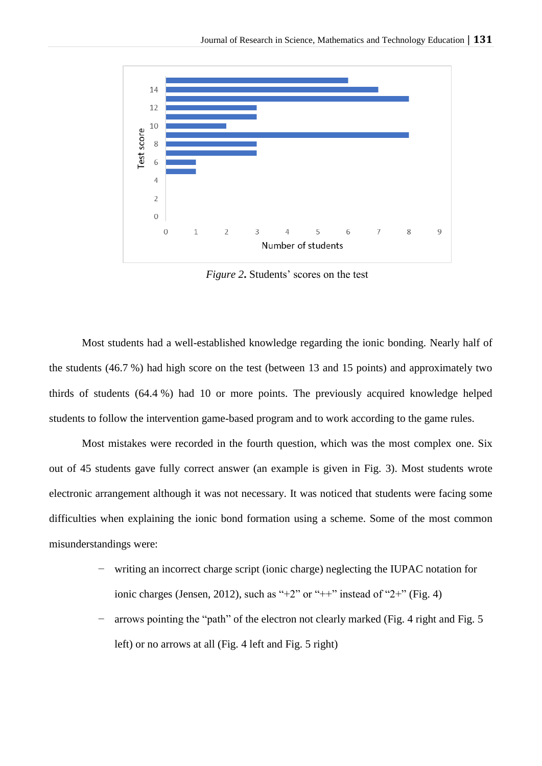

*Figure 2***.** Students' scores on the test

Most students had a well-established knowledge regarding the ionic bonding. Nearly half of the students (46.7 %) had high score on the test (between 13 and 15 points) and approximately two thirds of students (64.4 %) had 10 or more points. The previously acquired knowledge helped students to follow the intervention game-based program and to work according to the game rules.

Most mistakes were recorded in the fourth question, which was the most complex one. Six out of 45 students gave fully correct answer (an example is given in Fig. 3). Most students wrote electronic arrangement although it was not necessary. It was noticed that students were facing some difficulties when explaining the ionic bond formation using a scheme. Some of the most common misunderstandings were:

- writing an incorrect charge script (ionic charge) neglecting the IUPAC notation for ionic charges (Jensen, 2012), such as "+2" or "++" instead of "2+" (Fig. 4)
- arrows pointing the "path" of the electron not clearly marked (Fig. 4 right and Fig. 5 left) or no arrows at all (Fig. 4 left and Fig. 5 right)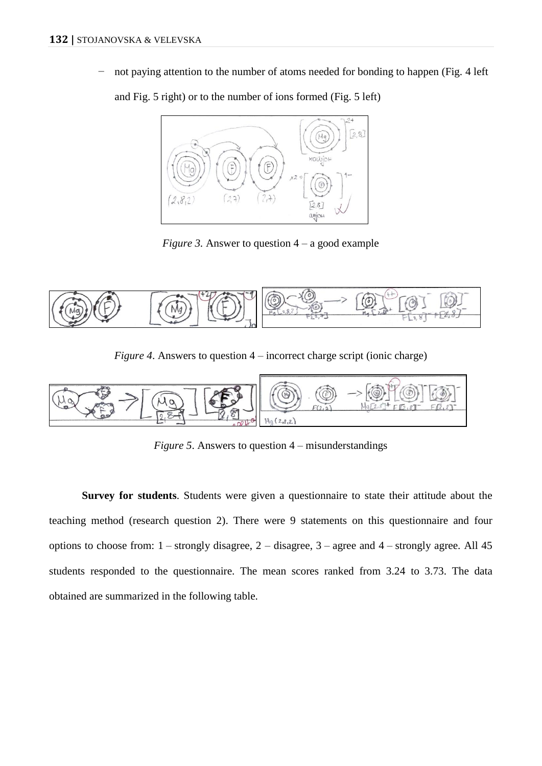not paying attention to the number of atoms needed for bonding to happen (Fig. 4 left

and Fig. 5 right) or to the number of ions formed (Fig. 5 left)



*Figure 3.* Answer to question  $4 - a$  good example



*Figure 4*. Answers to question 4 – incorrect charge script (ionic charge)



*Figure 5*. Answers to question 4 – misunderstandings

**Survey for students**. Students were given a questionnaire to state their attitude about the teaching method (research question 2). There were 9 statements on this questionnaire and four options to choose from:  $1$  – strongly disagree,  $2$  – disagree,  $3$  – agree and  $4$  – strongly agree. All 45 students responded to the questionnaire. The mean scores ranked from 3.24 to 3.73. The data obtained are summarized in the following table.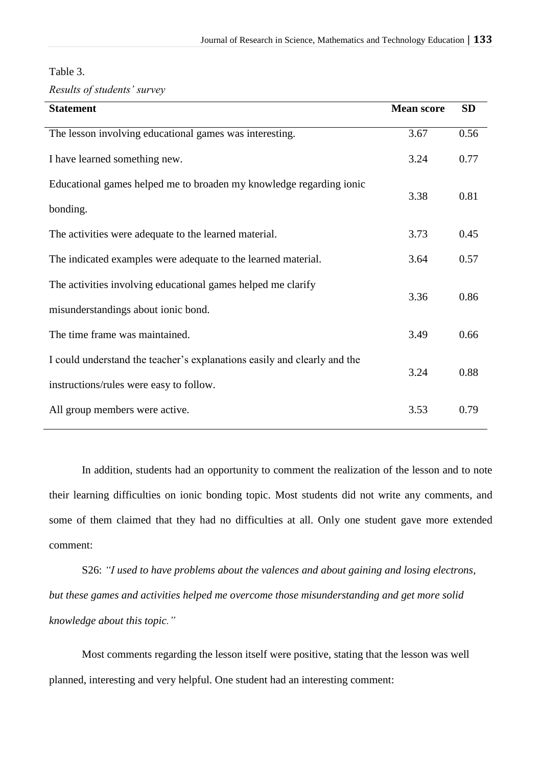## Table 3.

*Results of students' survey*

| <b>Statement</b>                                                         | <b>Mean score</b> | <b>SD</b> |
|--------------------------------------------------------------------------|-------------------|-----------|
| The lesson involving educational games was interesting.                  | 3.67              | 0.56      |
| I have learned something new.                                            | 3.24              | 0.77      |
| Educational games helped me to broaden my knowledge regarding ionic      | 3.38              | 0.81      |
| bonding.                                                                 |                   |           |
| The activities were adequate to the learned material.                    | 3.73              | 0.45      |
| The indicated examples were adequate to the learned material.            | 3.64              | 0.57      |
| The activities involving educational games helped me clarify             | 3.36              | 0.86      |
| misunderstandings about ionic bond.                                      |                   |           |
| The time frame was maintained.                                           | 3.49              | 0.66      |
| I could understand the teacher's explanations easily and clearly and the | 3.24              | 0.88      |
| instructions/rules were easy to follow.                                  |                   |           |
| All group members were active.                                           | 3.53              | 0.79      |

In addition, students had an opportunity to comment the realization of the lesson and to note their learning difficulties on ionic bonding topic. Most students did not write any comments, and some of them claimed that they had no difficulties at all. Only one student gave more extended comment:

S26: *"I used to have problems about the valences and about gaining and losing electrons, but these games and activities helped me overcome those misunderstanding and get more solid knowledge about this topic."*

Most comments regarding the lesson itself were positive, stating that the lesson was well planned, interesting and very helpful. One student had an interesting comment: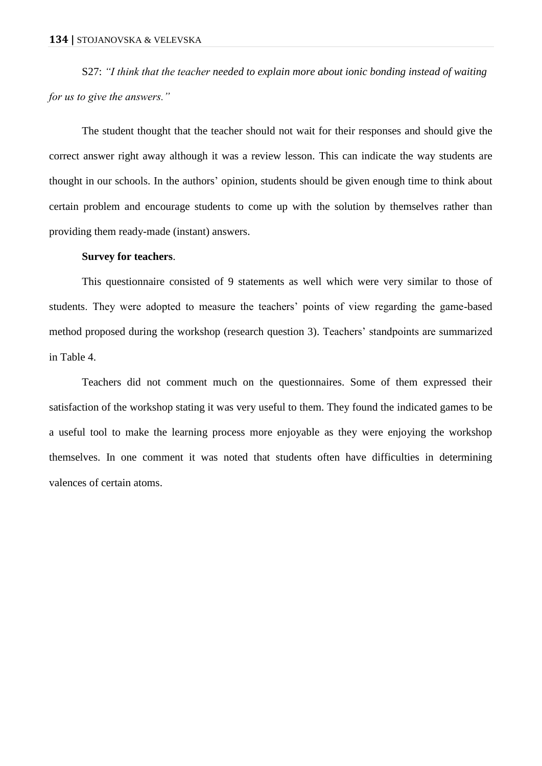S27: *"I think that the teacher needed to explain more about ionic bonding instead of waiting for us to give the answers."*

The student thought that the teacher should not wait for their responses and should give the correct answer right away although it was a review lesson. This can indicate the way students are thought in our schools. In the authors' opinion, students should be given enough time to think about certain problem and encourage students to come up with the solution by themselves rather than providing them ready-made (instant) answers.

#### **Survey for teachers**.

This questionnaire consisted of 9 statements as well which were very similar to those of students. They were adopted to measure the teachers' points of view regarding the game-based method proposed during the workshop (research question 3). Teachers' standpoints are summarized in Table 4.

Teachers did not comment much on the questionnaires. Some of them expressed their satisfaction of the workshop stating it was very useful to them. They found the indicated games to be a useful tool to make the learning process more enjoyable as they were enjoying the workshop themselves. In one comment it was noted that students often have difficulties in determining valences of certain atoms.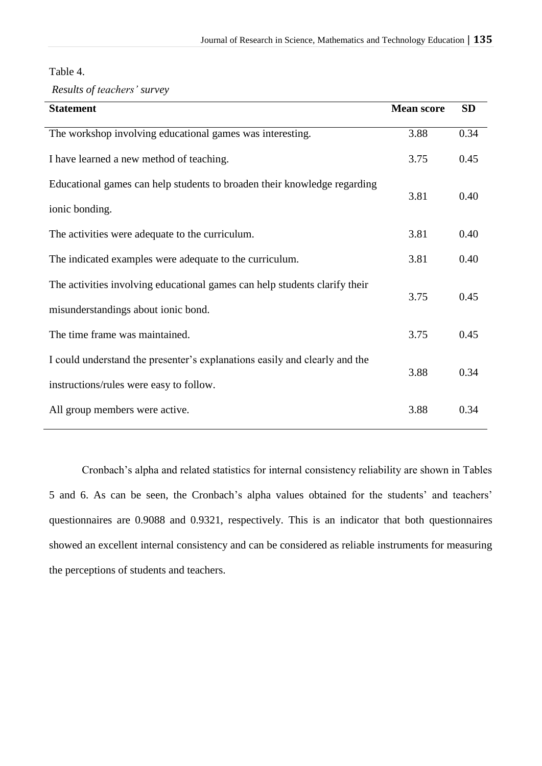| Table 4. |  |  |
|----------|--|--|
|----------|--|--|

*Results of teachers' survey*

| <b>Statement</b>                                                           | <b>Mean score</b> | <b>SD</b> |
|----------------------------------------------------------------------------|-------------------|-----------|
| The workshop involving educational games was interesting.                  | 3.88              | 0.34      |
| I have learned a new method of teaching.                                   | 3.75              | 0.45      |
| Educational games can help students to broaden their knowledge regarding   | 3.81              | 0.40      |
| ionic bonding.                                                             |                   |           |
| The activities were adequate to the curriculum.                            | 3.81              | 0.40      |
| The indicated examples were adequate to the curriculum.                    | 3.81              | 0.40      |
| The activities involving educational games can help students clarify their | 3.75              | 0.45      |
| misunderstandings about ionic bond.                                        |                   |           |
| The time frame was maintained.                                             | 3.75              | 0.45      |
| I could understand the presenter's explanations easily and clearly and the | 3.88              | 0.34      |
| instructions/rules were easy to follow.                                    |                   |           |
| All group members were active.                                             | 3.88              | 0.34      |

Cronbach's alpha and related statistics for internal consistency reliability are shown in Tables 5 and 6. As can be seen, the Cronbach's alpha values obtained for the students' and teachers' questionnaires are 0.9088 and 0.9321, respectively. This is an indicator that both questionnaires showed an excellent internal consistency and can be considered as reliable instruments for measuring the perceptions of students and teachers.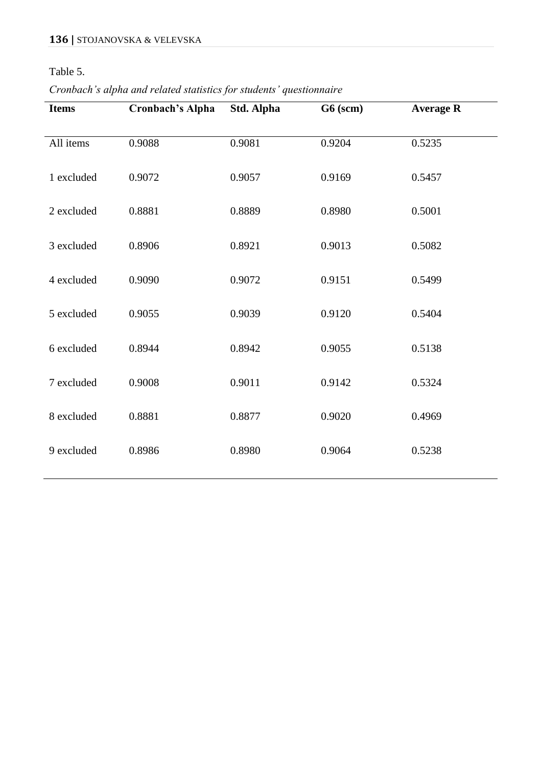# Table 5.

*Cronbach's alpha and related statistics for students' questionnaire*

| <b>Items</b> | <b>Cronbach's Alpha</b> | Std. Alpha | G6 (scm) | <b>Average R</b> |
|--------------|-------------------------|------------|----------|------------------|
| All items    | 0.9088                  | 0.9081     | 0.9204   | 0.5235           |
| 1 excluded   | 0.9072                  | 0.9057     | 0.9169   | 0.5457           |
| 2 excluded   | 0.8881                  | 0.8889     | 0.8980   | 0.5001           |
| 3 excluded   | 0.8906                  | 0.8921     | 0.9013   | 0.5082           |
| 4 excluded   | 0.9090                  | 0.9072     | 0.9151   | 0.5499           |
| 5 excluded   | 0.9055                  | 0.9039     | 0.9120   | 0.5404           |
| 6 excluded   | 0.8944                  | 0.8942     | 0.9055   | 0.5138           |
| 7 excluded   | 0.9008                  | 0.9011     | 0.9142   | 0.5324           |
| 8 excluded   | 0.8881                  | 0.8877     | 0.9020   | 0.4969           |
| 9 excluded   | 0.8986                  | 0.8980     | 0.9064   | 0.5238           |
|              |                         |            |          |                  |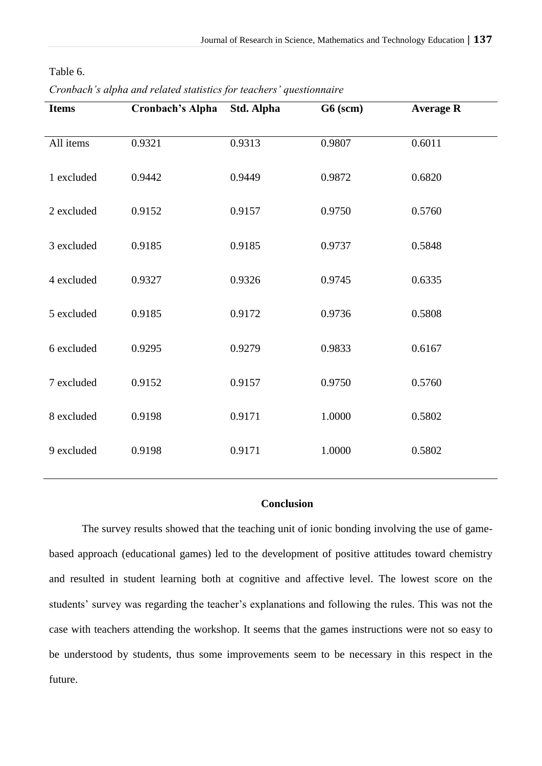| <b>Items</b> | <b>Cronbach's Alpha</b> | Std. Alpha | $G6$ (scm) | <b>Average R</b> |
|--------------|-------------------------|------------|------------|------------------|
| All items    | 0.9321                  | 0.9313     | 0.9807     | 0.6011           |
| 1 excluded   | 0.9442                  | 0.9449     | 0.9872     | 0.6820           |
| 2 excluded   | 0.9152                  | 0.9157     | 0.9750     | 0.5760           |
| 3 excluded   | 0.9185                  | 0.9185     | 0.9737     | 0.5848           |
| 4 excluded   | 0.9327                  | 0.9326     | 0.9745     | 0.6335           |
| 5 excluded   | 0.9185                  | 0.9172     | 0.9736     | 0.5808           |
| 6 excluded   | 0.9295                  | 0.9279     | 0.9833     | 0.6167           |
| 7 excluded   | 0.9152                  | 0.9157     | 0.9750     | 0.5760           |
| 8 excluded   | 0.9198                  | 0.9171     | 1.0000     | 0.5802           |
| 9 excluded   | 0.9198                  | 0.9171     | 1.0000     | 0.5802           |
|              |                         |            |            |                  |

Table 6.

*Cronbach's alpha and related statistics for teachers' questionnaire*

### **Conclusion**

The survey results showed that the teaching unit of ionic bonding involving the use of gamebased approach (educational games) led to the development of positive attitudes toward chemistry and resulted in student learning both at cognitive and affective level. The lowest score on the students' survey was regarding the teacher's explanations and following the rules. This was not the case with teachers attending the workshop. It seems that the games instructions were not so easy to be understood by students, thus some improvements seem to be necessary in this respect in the future.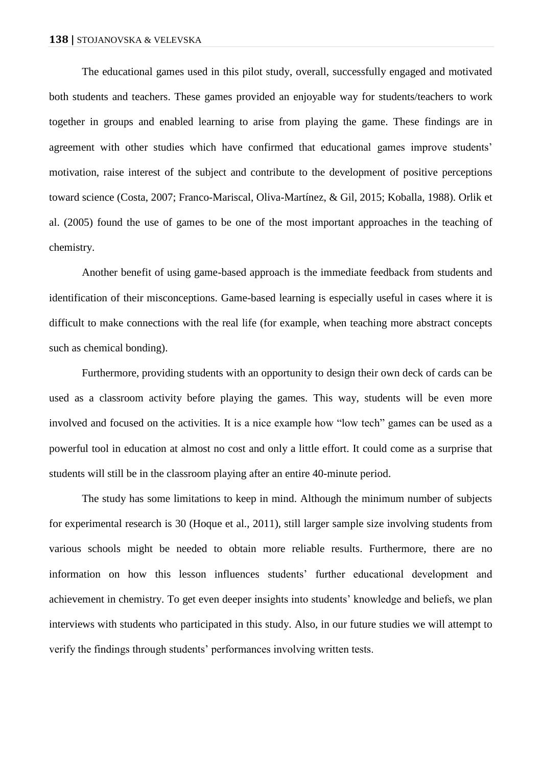The educational games used in this pilot study, overall, successfully engaged and motivated both students and teachers. These games provided an enjoyable way for students/teachers to work together in groups and enabled learning to arise from playing the game. These findings are in agreement with other studies which have confirmed that educational games improve students' motivation, raise interest of the subject and contribute to the development of positive perceptions toward science (Costa, 2007; Franco-Mariscal, Oliva-Martínez, & Gil, 2015; Koballa, 1988). Orlik et al. (2005) found the use of games to be one of the most important approaches in the teaching of chemistry.

Another benefit of using game-based approach is the immediate feedback from students and identification of their misconceptions. Game-based learning is especially useful in cases where it is difficult to make connections with the real life (for example, when teaching more abstract concepts such as chemical bonding).

Furthermore, providing students with an opportunity to design their own deck of cards can be used as a classroom activity before playing the games. This way, students will be even more involved and focused on the activities. It is a nice example how "low tech" games can be used as a powerful tool in education at almost no cost and only a little effort. It could come as a surprise that students will still be in the classroom playing after an entire 40-minute period.

The study has some limitations to keep in mind. Although the minimum number of subjects for experimental research is 30 (Hoque et al., 2011), still larger sample size involving students from various schools might be needed to obtain more reliable results. Furthermore, there are no information on how this lesson influences students' further educational development and achievement in chemistry. To get even deeper insights into students' knowledge and beliefs, we plan interviews with students who participated in this study. Also, in our future studies we will attempt to verify the findings through students' performances involving written tests.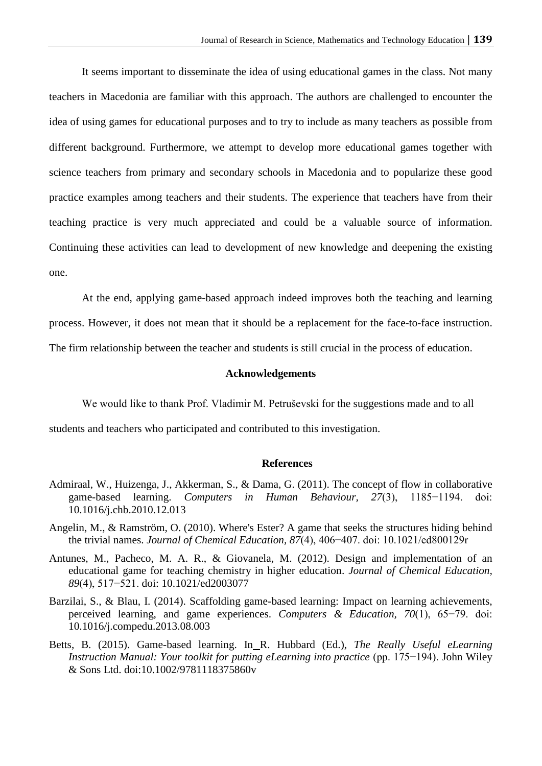It seems important to disseminate the idea of using educational games in the class. Not many teachers in Macedonia are familiar with this approach. The authors are challenged to encounter the idea of using games for educational purposes and to try to include as many teachers as possible from different background. Furthermore, we attempt to develop more educational games together with science teachers from primary and secondary schools in Macedonia and to popularize these good practice examples among teachers and their students. The experience that teachers have from their teaching practice is very much appreciated and could be a valuable source of information. Continuing these activities can lead to development of new knowledge and deepening the existing one.

At the end, applying game-based approach indeed improves both the teaching and learning process. However, it does not mean that it should be a replacement for the face-to-face instruction. The firm relationship between the teacher and students is still crucial in the process of education.

## **Acknowledgements**

We would like to thank Prof. Vladimir M. Petruševski for the suggestions made and to all

students and teachers who participated and contributed to this investigation.

## **References**

- Admiraal, W., Huizenga, J., Akkerman, S., & Dama, G. (2011). The concept of flow in collaborative game-based learning. *Computers in Human Behaviour, 27*(3), 1185−1194. doi: 10.1016/j.chb.2010.12.013
- Angelin, M., & Ramström, O. (2010). Where's Ester? A game that seeks the structures hiding behind the trivial names. *Journal of Chemical Education, 87*(4), 406−407. doi: 10.1021/ed800129r
- Antunes, M., Pacheco, M. A. R., & Giovanela, M. (2012). Design and implementation of an educational game for teaching chemistry in higher education. *Journal of Chemical Education, 89*(4), 517−521. doi: 10.1021/ed2003077
- Barzilai, S., & Blau, I. (2014). Scaffolding game-based learning: Impact on learning achievements, perceived learning, and game experiences. *Computers & Education, 70*(1), 65−79. doi: 10.1016/j.compedu.2013.08.003
- Betts, B. (2015). Game-based learning. In R. Hubbard (Ed.), *The Really Useful eLearning Instruction Manual: Your toolkit for putting eLearning into practice* (pp. 175−194). John Wiley & Sons Ltd. doi:10.1002/9781118375860v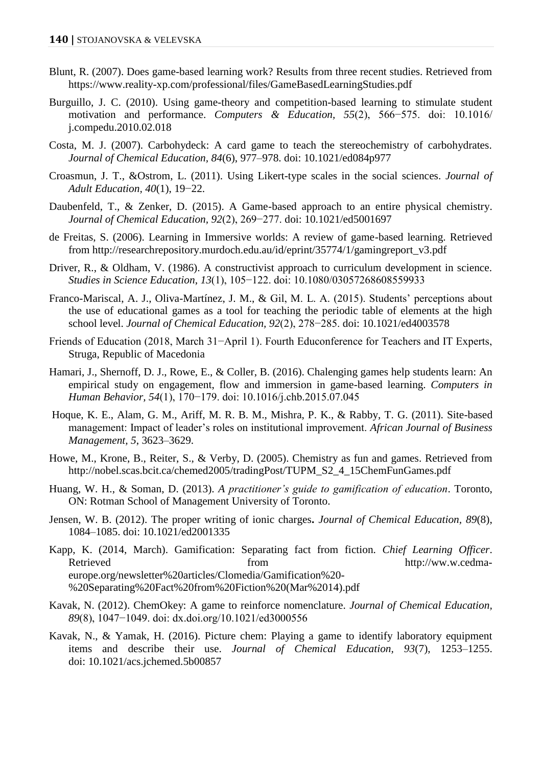- Blunt, R. (2007). Does game-based learning work? Results from three recent studies. Retrieved from <https://www.reality-xp.com/professional/files/GameBasedLearningStudies.pdf>
- Burguillo, J. C. (2010). Using game-theory and competition-based learning to stimulate student motivation and performance. *Computers & Education, 55*(2), 566−575. doi: 10.1016/ j.compedu.2010.02.018
- Costa, M. J. (2007). Carbohydeck: A card game to teach the stereochemistry of carbohydrates. *Journal of Chemical Education, 84*(6), 977–978. doi: 10.1021/ed084p977
- Croasmun, J. T., &Ostrom, L. (2011). Using Likert-type scales in the social sciences. *Journal of Adult Education, 40*(1), 19−22.
- Daubenfeld, T., & Zenker, D. (2015). A Game-based approach to an entire physical chemistry. *Journal of Chemical Education, 92*(2), 269−277. doi: 10.1021/ed5001697
- de Freitas, S. (2006). Learning in Immersive worlds: A review of game-based learning. Retrieved from [http://researchrepository.murdoch.edu.au/id/eprint/35774/1/gamingreport\\_v3.pdf](http://researchrepository.murdoch.edu.au/id/eprint/35774/1/gamingreport_v3.pdf)
- Driver, R., & Oldham, V. (1986). A constructivist approach to curriculum development in science. *Studies in Science Education*, *13*(1), 105−122. doi: 10.1080/03057268608559933
- Franco-Mariscal, A. J., Oliva-Martínez, J. M., & Gil, M. L. A. (2015). Students' perceptions about the use of educational games as a tool for teaching the periodic table of elements at the high school level. *Journal of Chemical Education, 92*(2), 278−285. doi: 10.1021/ed4003578
- Friends of Education (2018, March 31−April 1). Fourth Educonference for Teachers and IT Experts, Struga, Republic of Macedonia
- Hamari, J., Shernoff, D. J., Rowe, E., & Coller, B. (2016). Chalenging games help students learn: An empirical study on engagement, flow and immersion in game-based learning. *Computers in Human Behavior, 54*(1), 170−179. doi: 10.1016/j.chb.2015.07.045
- Hoque, K. E., Alam, G. M., Ariff, M. R. B. M., Mishra, P. K., & Rabby, T. G. (2011). Site-based management: Impact of leader's roles on institutional improvement. *African Journal of Business Management, 5*, 3623–3629.
- Howe, M., Krone, B., Reiter, S., & Verby, D. (2005). Chemistry as fun and games. Retrieved from [http://nobel.scas.bcit.ca/chemed2005/tradingPost/TUPM\\_S2\\_4\\_15ChemFunGames.pdf](http://nobel.scas.bcit.ca/chemed2005/tradingPost/TUPM_S2_4_15ChemFunGames.pdf)
- Huang, W. H., & Soman, D. (2013). *A practitioner's guide to gamification of education*. Toronto, ON: Rotman School of Management University of Toronto.
- Jensen, W. B. (2012). The proper writing of ionic charges**.** *Journal of Chemical Education, 89*(8), 1084–1085. doi: 10.1021/ed2001335
- Kapp, K. (2014, March). Gamification: Separating fact from fiction. *Chief Learning Officer*. Retrieved from from [http://ww.w.cedma](http://ww.w.cedma-europe.org/newsletter%20articles/Clomedia/Gamification%20-%20Separating%20Fact%20from%20Fiction%20(Mar%2014).pdf)[europe.org/newsletter%20articles/Clomedia/Gamification%20-](http://ww.w.cedma-europe.org/newsletter%20articles/Clomedia/Gamification%20-%20Separating%20Fact%20from%20Fiction%20(Mar%2014).pdf) [%20Separating%20Fact%20from%20Fiction%20\(Mar%2014\).pdf](http://ww.w.cedma-europe.org/newsletter%20articles/Clomedia/Gamification%20-%20Separating%20Fact%20from%20Fiction%20(Mar%2014).pdf)
- Kavak, N. (2012). ChemOkey: A game to reinforce nomenclature. *Journal of Chemical Education, 89*(8), 1047−1049. doi: dx.doi.org/10.1021/ed3000556
- Kavak, N., & Yamak, H. (2016). Picture chem: Playing a game to identify laboratory equipment items and describe their use. *Journal of Chemical Education, 93*(7), 1253–1255. doi: 10.1021/acs.jchemed.5b00857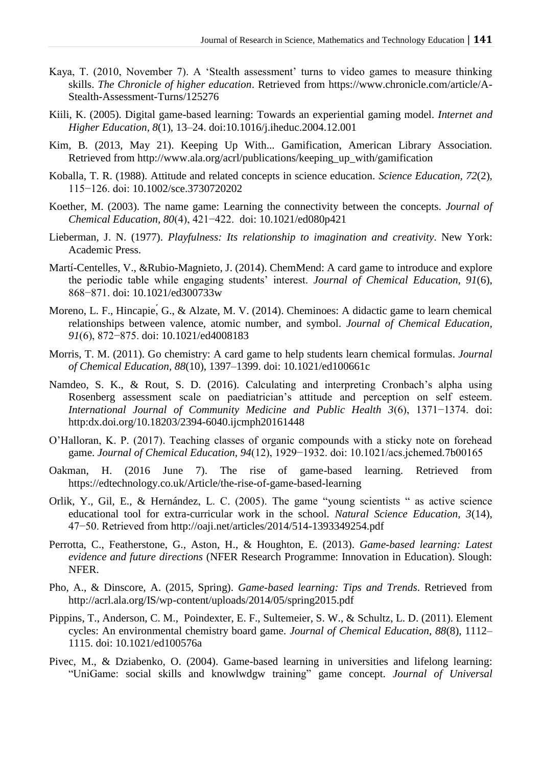- Kaya, T. (2010, November 7). A 'Stealth assessment' turns to video games to measure thinking skills. *The Chronicle of higher education*. Retrieved from [https://www.chronicle.com/article/A-](https://www.chronicle.com/article/A-Stealth-Assessment-Turns/125276)[Stealth-Assessment-Turns/125276](https://www.chronicle.com/article/A-Stealth-Assessment-Turns/125276)
- Kiili, K. (2005). Digital game-based learning: Towards an experiential gaming model. *Internet and Higher Education, 8*(1), 13–24. doi:10.1016/j.iheduc.2004.12.001
- Kim, B. (2013, May 21). Keeping Up With... Gamification, American Library Association. Retrieved from [http://www.ala.org/acrl/publications/keeping\\_up\\_with/gamification](http://www.ala.org/acrl/publications/keeping_up_with/gamification)
- Koballa, T. R. (1988). Attitude and related concepts in science education. *Science Education, 72*(2), 115−126. doi: 10.1002/sce.3730720202
- Koether, M. (2003). The name game: Learning the connectivity between the concepts. *Journal of Chemical Education, 80*(4), 421−422. doi: 10.1021/ed080p421
- Lieberman, J. N. (1977). *Playfulness: Its relationship to imagination and creativity*. New York: Academic Press.
- Martí-Centelles, V., &Rubio-Magnieto, J. (2014). ChemMend: A card game to introduce and explore the periodic table while engaging students' interest. *Journal of Chemical Education, 91*(6), 868−871. doi: 10.1021/ed300733w
- Moreno, L. F., Hincapie, G., & Alzate, M. V. (2014). Cheminoes: A didactic game to learn chemical relationships between valence, atomic number, and symbol. *Journal of Chemical Education, 91*(6), 872−875. doi: 10.1021/ed4008183
- Morris, T. M. (2011). Go chemistry: A card game to help students learn chemical formulas. *Journal of Chemical Education, 88*(10), 1397–1399. doi: 10.1021/ed100661c
- Namdeo, S. K., & Rout, S. D. (2016). Calculating and interpreting Cronbach's alpha using Rosenberg assessment scale on paediatrician's attitude and perception on self esteem. *International Journal of Community Medicine and Public Health 3*(6), 1371−1374. doi: http:dx.doi.org/10.18203/2394-6040.ijcmph20161448
- O'Halloran, K. P. (2017). Teaching classes of organic compounds with a sticky note on forehead game. *Journal of Chemical Education, 94*(12), 1929−1932. doi: 10.1021/acs.jchemed.7b00165
- Oakman, H. (2016 June 7). The rise of game-based learning. Retrieved from <https://edtechnology.co.uk/Article/the-rise-of-game-based-learning>
- Orlik, Y., Gil, E., & Hernández, L. C. (2005). The game "young scientists " as active science educational tool for extra-curricular work in the school. *Natural Science Education, 3*(14), 47−50. Retrieved from<http://oaji.net/articles/2014/514-1393349254.pdf>
- Perrotta, C., Featherstone, G., Aston, H., & Houghton, E. (2013). *Game-based learning: Latest evidence and future directions* (NFER Research Programme: Innovation in Education). Slough: NFER.
- Pho, A., & Dinscore, A. (2015, Spring). *Game-based learning: Tips and Trends*. Retrieved from <http://acrl.ala.org/IS/wp-content/uploads/2014/05/spring2015.pdf>
- Pippins, T., Anderson, C. M., Poindexter, E. F., Sultemeier, S. W., & Schultz, L. D. (2011). Element cycles: An environmental chemistry board game. *Journal of Chemical Education, 88*(8), 1112– 1115. doi: 10.1021/ed100576a
- Pivec, M., & Dziabenko, O. (2004). Game-based learning in universities and lifelong learning: "UniGame: social skills and knowlwdgw training" game concept. *Journal of Universal*